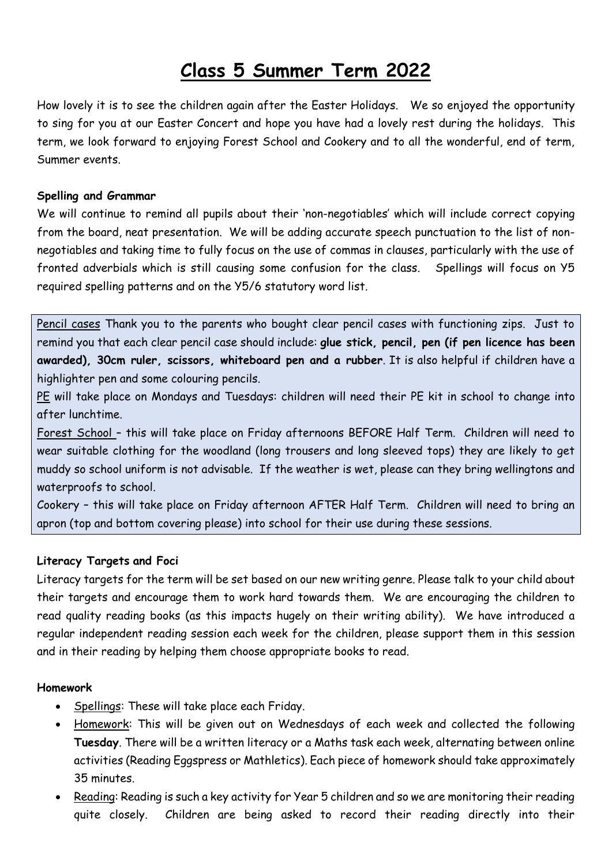# **Class 5 Summer Term 2022**

How lovely it is to see the children again after the Easter Holidays. We so enjoyed the opportunity to sing for you at our Easter Concert and hope you have had a lovely rest during the holidays. This term, we look forward to enjoying Forest School and Cookery and to all the wonderful, end of term, Summer events.

## **Spelling and Grammar**

We will continue to remind all pupils about their 'non-negotiables' which will include correct copying from the board, neat presentation. We will be adding accurate speech punctuation to the list of nonnegotiables and taking time to fully focus on the use of commas in clauses, particularly with the use of fronted adverbials which is still causing some confusion for the class. Spellings will focus on Y5 required spelling patterns and on the Y5/6 statutory word list.

Pencil cases Thank you to the parents who bought clear pencil cases with functioning zips. Just to remind you that each clear pencil case should include: **glue stick, pencil, pen (if pen licence has been awarded), 30cm ruler, scissors, whiteboard pen and a rubber**. It is also helpful if children have a highlighter pen and some colouring pencils.

PE will take place on Mondays and Tuesdays: children will need their PE kit in school to change into after lunchtime.

Forest School – this will take place on Friday afternoons BEFORE Half Term. Children will need to wear suitable clothing for the woodland (long trousers and long sleeved tops) they are likely to get muddy so school uniform is not advisable. If the weather is wet, please can they bring wellingtons and waterproofs to school.

Cookery – this will take place on Friday afternoon AFTER Half Term. Children will need to bring an apron (top and bottom covering please) into school for their use during these sessions.

#### **Literacy Targets and Foci**

Literacy targets for the term will be set based on our new writing genre. Please talk to your child about their targets and encourage them to work hard towards them. We are encouraging the children to read quality reading books (as this impacts hugely on their writing ability). We have introduced a regular independent reading session each week for the children, please support them in this session and in their reading by helping them choose appropriate books to read.

#### **Homework**

- Spellings: These will take place each Friday.
- Homework: This will be given out on Wednesdays of each week and collected the following **Tuesday**. There will be a written literacy or a Maths task each week, alternating between online activities (Reading Eggspress or Mathletics). Each piece of homework should take approximately 35 minutes.
- Reading: Reading is such a key activity for Year 5 children and so we are monitoring their reading quite closely. Children are being asked to record their reading directly into their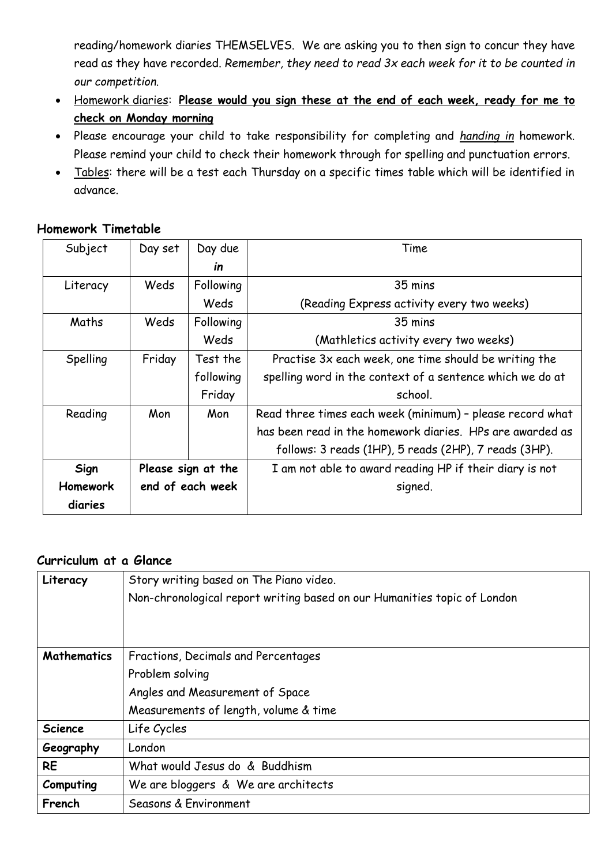reading/homework diaries THEMSELVES. We are asking you to then sign to concur they have read as they have recorded. *Remember, they need to read 3x each week for it to be counted in our competition.*

- Homework diaries: **Please would you sign these at the end of each week, ready for me to check on Monday morning**
- Please encourage your child to take responsibility for completing and *handing in* homework. Please remind your child to check their homework through for spelling and punctuation errors.
- Tables: there will be a test each Thursday on a specific times table which will be identified in advance.

# **Homework Timetable**

| Subject  | Day set            | Day due   | Time                                                      |
|----------|--------------------|-----------|-----------------------------------------------------------|
|          |                    | in        |                                                           |
| Literacy | Weds               | Following | 35 mins                                                   |
|          |                    | Weds      | (Reading Express activity every two weeks)                |
| Maths    | Weds               | Following | 35 mins                                                   |
|          |                    | Weds      | (Mathletics activity every two weeks)                     |
| Spelling | Friday             | Test the  | Practise 3x each week, one time should be writing the     |
|          |                    | following | spelling word in the context of a sentence which we do at |
|          |                    | Friday    | school.                                                   |
| Reading  | Mon                | Mon       | Read three times each week (minimum) - please record what |
|          |                    |           | has been read in the homework diaries. HPs are awarded as |
|          |                    |           | follows: 3 reads (1HP), 5 reads (2HP), 7 reads (3HP).     |
| Sign     | Please sign at the |           | I am not able to award reading HP if their diary is not   |
| Homework | end of each week   |           | signed.                                                   |
| diaries  |                    |           |                                                           |

# **Curriculum at a Glance**

| Literacy           | Story writing based on The Piano video.                                  |  |  |
|--------------------|--------------------------------------------------------------------------|--|--|
|                    | Non-chronological report writing based on our Humanities topic of London |  |  |
|                    |                                                                          |  |  |
|                    |                                                                          |  |  |
| <b>Mathematics</b> | Fractions, Decimals and Percentages                                      |  |  |
|                    | Problem solving                                                          |  |  |
|                    | Angles and Measurement of Space                                          |  |  |
|                    | Measurements of length, volume & time                                    |  |  |
| <b>Science</b>     | Life Cycles                                                              |  |  |
| Geography          | London                                                                   |  |  |
| <b>RE</b>          | What would Jesus do & Buddhism                                           |  |  |
| Computing          | We are bloggers & We are architects                                      |  |  |
| French             | Seasons & Environment                                                    |  |  |